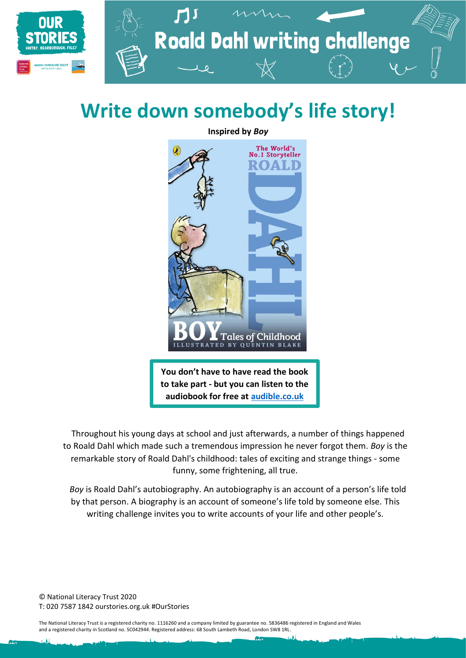

# **Write down somebody's life story!**

**Inspired by** *Boy*



Throughout his young days at school and just afterwards, a number of things happened to Roald Dahl which made such a tremendous impression he never forgot them. *Boy* is the remarkable story of Roald Dahl's childhood: tales of exciting and strange things - some funny, some frightening, all true.

*Boy* is Roald Dahl's autobiography. An autobiography is an account of a person's life told by that person. A biography is an account of someone's life told by someone else. This writing challenge invites you to write accounts of your life and other people's.

© National Literacy Trust 2020 T: 020 7587 1842 ourstories.org.uk #OurStories

The National Literacy Trust is a registered charity no. 1116260 and a company limited by guarantee no. 5836486 registered in England and Wales and a registered charity in Scotland no. SC042944. Registered address: 68 South Lambeth Road, London SW8 1RL.